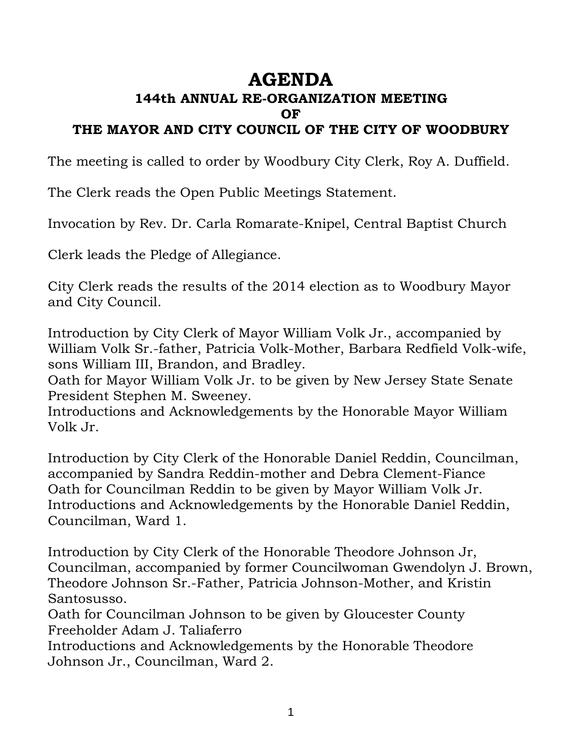# **AGENDA**

## **144th ANNUAL RE-ORGANIZATION MEETING OF**

## **THE MAYOR AND CITY COUNCIL OF THE CITY OF WOODBURY**

The meeting is called to order by Woodbury City Clerk, Roy A. Duffield.

The Clerk reads the Open Public Meetings Statement.

Invocation by Rev. Dr. Carla Romarate-Knipel, Central Baptist Church

Clerk leads the Pledge of Allegiance.

City Clerk reads the results of the 2014 election as to Woodbury Mayor and City Council.

Introduction by City Clerk of Mayor William Volk Jr., accompanied by William Volk Sr.-father, Patricia Volk-Mother, Barbara Redfield Volk-wife, sons William III, Brandon, and Bradley.

Oath for Mayor William Volk Jr. to be given by New Jersey State Senate President Stephen M. Sweeney.

Introductions and Acknowledgements by the Honorable Mayor William Volk Jr.

Introduction by City Clerk of the Honorable Daniel Reddin, Councilman, accompanied by Sandra Reddin-mother and Debra Clement-Fiance Oath for Councilman Reddin to be given by Mayor William Volk Jr. Introductions and Acknowledgements by the Honorable Daniel Reddin, Councilman, Ward 1.

Introduction by City Clerk of the Honorable Theodore Johnson Jr, Councilman, accompanied by former Councilwoman Gwendolyn J. Brown, Theodore Johnson Sr.-Father, Patricia Johnson-Mother, and Kristin Santosusso.

Oath for Councilman Johnson to be given by Gloucester County Freeholder Adam J. Taliaferro

Introductions and Acknowledgements by the Honorable Theodore Johnson Jr., Councilman, Ward 2.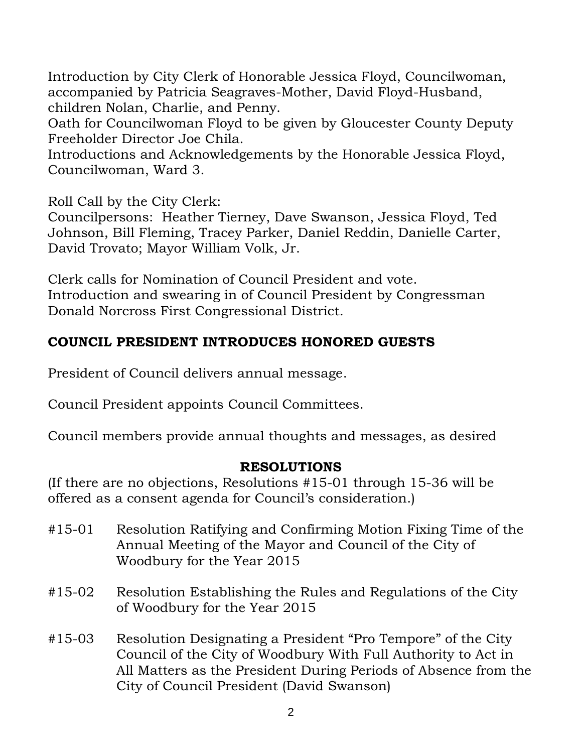Introduction by City Clerk of Honorable Jessica Floyd, Councilwoman, accompanied by Patricia Seagraves-Mother, David Floyd-Husband, children Nolan, Charlie, and Penny.

Oath for Councilwoman Floyd to be given by Gloucester County Deputy Freeholder Director Joe Chila.

Introductions and Acknowledgements by the Honorable Jessica Floyd, Councilwoman, Ward 3.

Roll Call by the City Clerk:

Councilpersons: Heather Tierney, Dave Swanson, Jessica Floyd, Ted Johnson, Bill Fleming, Tracey Parker, Daniel Reddin, Danielle Carter, David Trovato; Mayor William Volk, Jr.

Clerk calls for Nomination of Council President and vote. Introduction and swearing in of Council President by Congressman Donald Norcross First Congressional District.

#### **COUNCIL PRESIDENT INTRODUCES HONORED GUESTS**

President of Council delivers annual message.

Council President appoints Council Committees.

Council members provide annual thoughts and messages, as desired

#### **RESOLUTIONS**

(If there are no objections, Resolutions #15-01 through 15-36 will be offered as a consent agenda for Council's consideration.)

- #15-01 Resolution Ratifying and Confirming Motion Fixing Time of the Annual Meeting of the Mayor and Council of the City of Woodbury for the Year 2015
- #15-02 Resolution Establishing the Rules and Regulations of the City of Woodbury for the Year 2015
- #15-03 Resolution Designating a President "Pro Tempore" of the City Council of the City of Woodbury With Full Authority to Act in All Matters as the President During Periods of Absence from the City of Council President (David Swanson)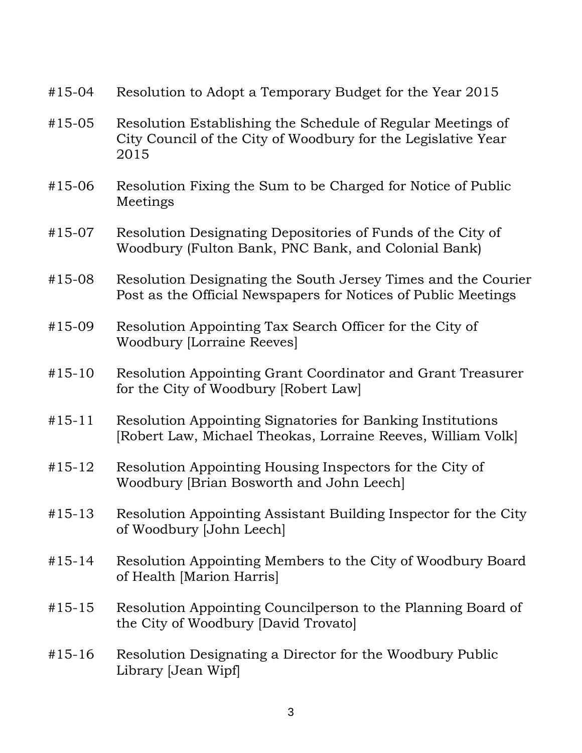- #15-04 Resolution to Adopt a Temporary Budget for the Year 2015
- #15-05 Resolution Establishing the Schedule of Regular Meetings of City Council of the City of Woodbury for the Legislative Year 2015
- #15-06 Resolution Fixing the Sum to be Charged for Notice of Public Meetings
- #15-07 Resolution Designating Depositories of Funds of the City of Woodbury (Fulton Bank, PNC Bank, and Colonial Bank)
- #15-08 Resolution Designating the South Jersey Times and the Courier Post as the Official Newspapers for Notices of Public Meetings
- #15-09 Resolution Appointing Tax Search Officer for the City of Woodbury [Lorraine Reeves]
- #15-10 Resolution Appointing Grant Coordinator and Grant Treasurer for the City of Woodbury [Robert Law]
- #15-11 Resolution Appointing Signatories for Banking Institutions [Robert Law, Michael Theokas, Lorraine Reeves, William Volk]
- #15-12 Resolution Appointing Housing Inspectors for the City of Woodbury [Brian Bosworth and John Leech]
- #15-13 Resolution Appointing Assistant Building Inspector for the City of Woodbury [John Leech]
- #15-14 Resolution Appointing Members to the City of Woodbury Board of Health [Marion Harris]
- #15-15 Resolution Appointing Councilperson to the Planning Board of the City of Woodbury [David Trovato]
- #15-16 Resolution Designating a Director for the Woodbury Public Library [Jean Wipf]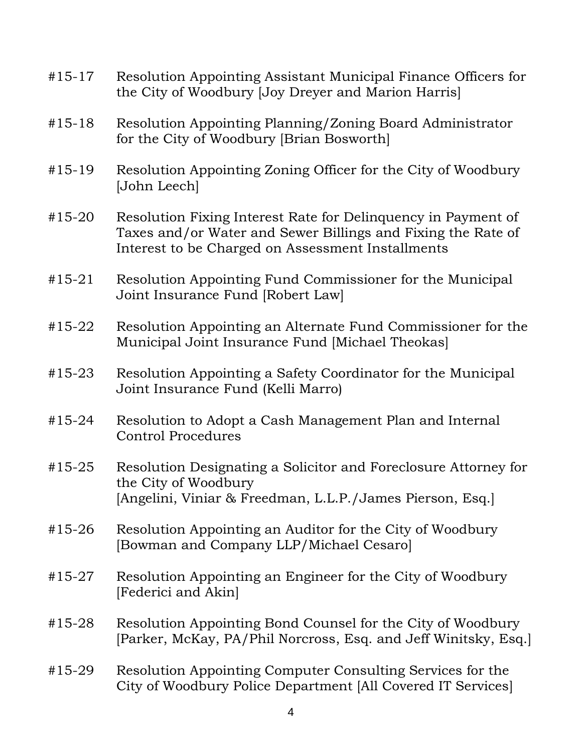#15-17 Resolution Appointing Assistant Municipal Finance Officers for the City of Woodbury [Joy Dreyer and Marion Harris] #15-18 Resolution Appointing Planning/Zoning Board Administrator for the City of Woodbury [Brian Bosworth] #15-19 Resolution Appointing Zoning Officer for the City of Woodbury [John Leech] #15-20 Resolution Fixing Interest Rate for Delinquency in Payment of Taxes and/or Water and Sewer Billings and Fixing the Rate of Interest to be Charged on Assessment Installments #15-21 Resolution Appointing Fund Commissioner for the Municipal Joint Insurance Fund [Robert Law] #15-22 Resolution Appointing an Alternate Fund Commissioner for the Municipal Joint Insurance Fund [Michael Theokas] #15-23 Resolution Appointing a Safety Coordinator for the Municipal Joint Insurance Fund (Kelli Marro) #15-24 Resolution to Adopt a Cash Management Plan and Internal Control Procedures #15-25 Resolution Designating a Solicitor and Foreclosure Attorney for the City of Woodbury [Angelini, Viniar & Freedman, L.L.P./James Pierson, Esq.] #15-26 Resolution Appointing an Auditor for the City of Woodbury [Bowman and Company LLP/Michael Cesaro] #15-27 Resolution Appointing an Engineer for the City of Woodbury [Federici and Akin] #15-28 Resolution Appointing Bond Counsel for the City of Woodbury [Parker, McKay, PA/Phil Norcross, Esq. and Jeff Winitsky, Esq.] #15-29 Resolution Appointing Computer Consulting Services for the City of Woodbury Police Department [All Covered IT Services]